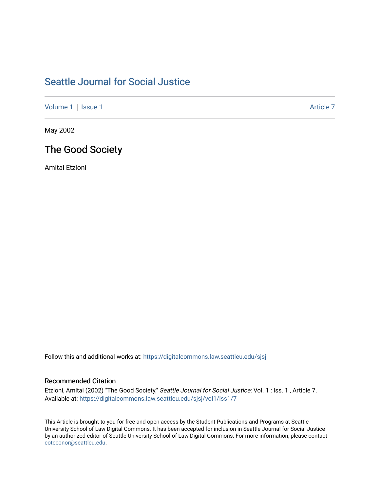# [Seattle Journal for Social Justice](https://digitalcommons.law.seattleu.edu/sjsj)

[Volume 1](https://digitalcommons.law.seattleu.edu/sjsj/vol1) | [Issue 1](https://digitalcommons.law.seattleu.edu/sjsj/vol1/iss1) Article 7

May 2002

## The Good Society

Amitai Etzioni

Follow this and additional works at: [https://digitalcommons.law.seattleu.edu/sjsj](https://digitalcommons.law.seattleu.edu/sjsj?utm_source=digitalcommons.law.seattleu.edu%2Fsjsj%2Fvol1%2Fiss1%2F7&utm_medium=PDF&utm_campaign=PDFCoverPages)

#### Recommended Citation

Etzioni, Amitai (2002) "The Good Society," Seattle Journal for Social Justice: Vol. 1 : Iss. 1, Article 7. Available at: [https://digitalcommons.law.seattleu.edu/sjsj/vol1/iss1/7](https://digitalcommons.law.seattleu.edu/sjsj/vol1/iss1/7?utm_source=digitalcommons.law.seattleu.edu%2Fsjsj%2Fvol1%2Fiss1%2F7&utm_medium=PDF&utm_campaign=PDFCoverPages)

This Article is brought to you for free and open access by the Student Publications and Programs at Seattle University School of Law Digital Commons. It has been accepted for inclusion in Seattle Journal for Social Justice by an authorized editor of Seattle University School of Law Digital Commons. For more information, please contact [coteconor@seattleu.edu.](mailto:coteconor@seattleu.edu)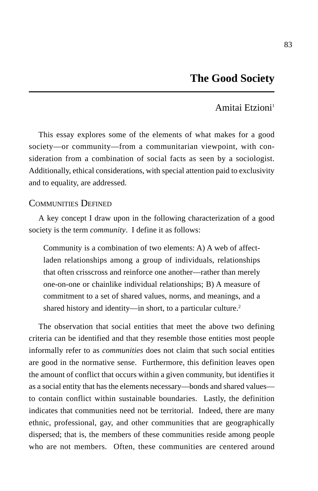### Amitai Etzioni<sup>1</sup>

This essay explores some of the elements of what makes for a good society—or community—from a communitarian viewpoint, with consideration from a combination of social facts as seen by a sociologist. Additionally, ethical considerations, with special attention paid to exclusivity and to equality, are addressed.

#### COMMUNITIES DEFINED

A key concept I draw upon in the following characterization of a good society is the term *community*. I define it as follows:

Community is a combination of two elements: A) A web of affectladen relationships among a group of individuals, relationships that often crisscross and reinforce one another—rather than merely one-on-one or chainlike individual relationships; B) A measure of commitment to a set of shared values, norms, and meanings, and a shared history and identity—in short, to a particular culture.<sup>2</sup>

The observation that social entities that meet the above two defining criteria can be identified and that they resemble those entities most people informally refer to as *communities* does not claim that such social entities are good in the normative sense. Furthermore, this definition leaves open the amount of conflict that occurs within a given community, but identifies it as a social entity that has the elements necessary—bonds and shared values to contain conflict within sustainable boundaries. Lastly, the definition indicates that communities need not be territorial. Indeed, there are many ethnic, professional, gay, and other communities that are geographically dispersed; that is, the members of these communities reside among people who are not members. Often, these communities are centered around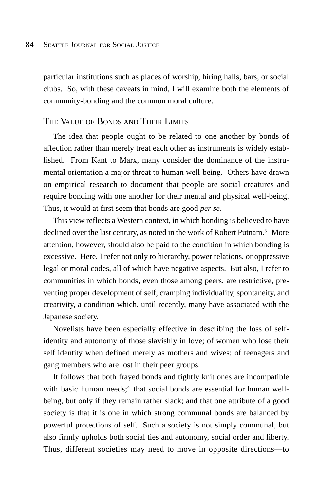particular institutions such as places of worship, hiring halls, bars, or social clubs. So, with these caveats in mind, I will examine both the elements of community-bonding and the common moral culture.

#### THE VALUE OF BONDS AND THEIR LIMITS

The idea that people ought to be related to one another by bonds of affection rather than merely treat each other as instruments is widely established. From Kant to Marx, many consider the dominance of the instrumental orientation a major threat to human well-being. Others have drawn on empirical research to document that people are social creatures and require bonding with one another for their mental and physical well-being. Thus, it would at first seem that bonds are good *per se*.

This view reflects a Western context, in which bonding is believed to have declined over the last century, as noted in the work of Robert Putnam.<sup>3</sup> More attention, however, should also be paid to the condition in which bonding is excessive. Here, I refer not only to hierarchy, power relations, or oppressive legal or moral codes, all of which have negative aspects. But also, I refer to communities in which bonds, even those among peers, are restrictive, preventing proper development of self, cramping individuality, spontaneity, and creativity, a condition which, until recently, many have associated with the Japanese society.

Novelists have been especially effective in describing the loss of selfidentity and autonomy of those slavishly in love; of women who lose their self identity when defined merely as mothers and wives; of teenagers and gang members who are lost in their peer groups.

It follows that both frayed bonds and tightly knit ones are incompatible with basic human needs;<sup>4</sup> that social bonds are essential for human wellbeing, but only if they remain rather slack; and that one attribute of a good society is that it is one in which strong communal bonds are balanced by powerful protections of self. Such a society is not simply communal, but also firmly upholds both social ties and autonomy, social order and liberty. Thus, different societies may need to move in opposite directions—to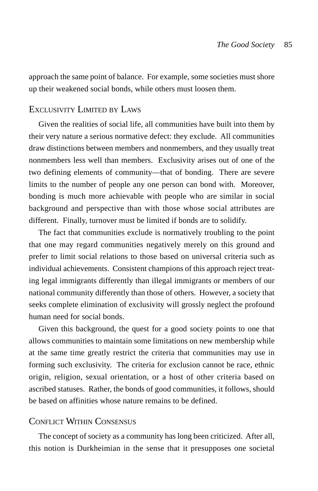approach the same point of balance. For example, some societies must shore up their weakened social bonds, while others must loosen them.

## EXCLUSIVITY LIMITED BY LAWS

Given the realities of social life, all communities have built into them by their very nature a serious normative defect: they exclude. All communities draw distinctions between members and nonmembers, and they usually treat nonmembers less well than members. Exclusivity arises out of one of the two defining elements of community—that of bonding. There are severe limits to the number of people any one person can bond with. Moreover, bonding is much more achievable with people who are similar in social background and perspective than with those whose social attributes are different. Finally, turnover must be limited if bonds are to solidify.

The fact that communities exclude is normatively troubling to the point that one may regard communities negatively merely on this ground and prefer to limit social relations to those based on universal criteria such as individual achievements. Consistent champions of this approach reject treating legal immigrants differently than illegal immigrants or members of our national community differently than those of others. However, a society that seeks complete elimination of exclusivity will grossly neglect the profound human need for social bonds.

Given this background, the quest for a good society points to one that allows communities to maintain some limitations on new membership while at the same time greatly restrict the criteria that communities may use in forming such exclusivity. The criteria for exclusion cannot be race, ethnic origin, religion, sexual orientation, or a host of other criteria based on ascribed statuses. Rather, the bonds of good communities, it follows, should be based on affinities whose nature remains to be defined.

#### CONFLICT WITHIN CONSENSUS

The concept of society as a community has long been criticized. After all, this notion is Durkheimian in the sense that it presupposes one societal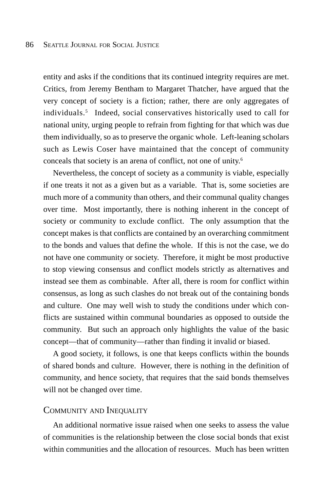entity and asks if the conditions that its continued integrity requires are met. Critics, from Jeremy Bentham to Margaret Thatcher, have argued that the very concept of society is a fiction; rather, there are only aggregates of individuals.5 Indeed, social conservatives historically used to call for national unity, urging people to refrain from fighting for that which was due them individually, so as to preserve the organic whole. Left-leaning scholars such as Lewis Coser have maintained that the concept of community conceals that society is an arena of conflict, not one of unity.6

Nevertheless, the concept of society as a community is viable, especially if one treats it not as a given but as a variable. That is, some societies are much more of a community than others, and their communal quality changes over time. Most importantly, there is nothing inherent in the concept of society or community to exclude conflict. The only assumption that the concept makes is that conflicts are contained by an overarching commitment to the bonds and values that define the whole. If this is not the case, we do not have one community or society. Therefore, it might be most productive to stop viewing consensus and conflict models strictly as alternatives and instead see them as combinable. After all, there is room for conflict within consensus, as long as such clashes do not break out of the containing bonds and culture. One may well wish to study the conditions under which conflicts are sustained within communal boundaries as opposed to outside the community. But such an approach only highlights the value of the basic concept—that of community—rather than finding it invalid or biased.

A good society, it follows, is one that keeps conflicts within the bounds of shared bonds and culture. However, there is nothing in the definition of community, and hence society, that requires that the said bonds themselves will not be changed over time.

#### COMMUNITY AND INEQUALITY

An additional normative issue raised when one seeks to assess the value of communities is the relationship between the close social bonds that exist within communities and the allocation of resources. Much has been written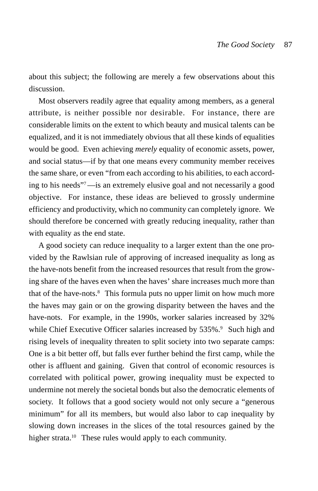about this subject; the following are merely a few observations about this discussion.

Most observers readily agree that equality among members, as a general attribute, is neither possible nor desirable. For instance, there are considerable limits on the extent to which beauty and musical talents can be equalized, and it is not immediately obvious that all these kinds of equalities would be good. Even achieving *merely* equality of economic assets, power, and social status—if by that one means every community member receives the same share, or even "from each according to his abilities, to each according to his needs"7—is an extremely elusive goal and not necessarily a good objective. For instance, these ideas are believed to grossly undermine efficiency and productivity, which no community can completely ignore. We should therefore be concerned with greatly reducing inequality, rather than with equality as the end state.

A good society can reduce inequality to a larger extent than the one provided by the Rawlsian rule of approving of increased inequality as long as the have-nots benefit from the increased resources that result from the growing share of the haves even when the haves' share increases much more than that of the have-nots.<sup>8</sup> This formula puts no upper limit on how much more the haves may gain or on the growing disparity between the haves and the have-nots. For example, in the 1990s, worker salaries increased by 32% while Chief Executive Officer salaries increased by 535%.<sup>9</sup> Such high and rising levels of inequality threaten to split society into two separate camps: One is a bit better off, but falls ever further behind the first camp, while the other is affluent and gaining. Given that control of economic resources is correlated with political power, growing inequality must be expected to undermine not merely the societal bonds but also the democratic elements of society. It follows that a good society would not only secure a "generous minimum" for all its members, but would also labor to cap inequality by slowing down increases in the slices of the total resources gained by the higher strata.<sup>10</sup> These rules would apply to each community.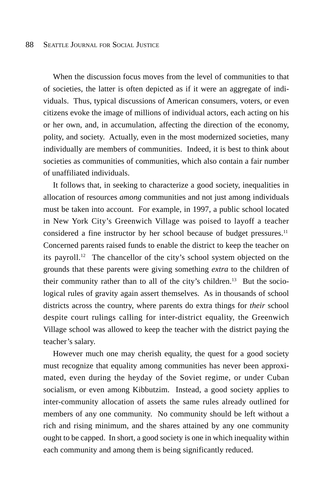When the discussion focus moves from the level of communities to that of societies, the latter is often depicted as if it were an aggregate of individuals. Thus, typical discussions of American consumers, voters, or even citizens evoke the image of millions of individual actors, each acting on his or her own, and, in accumulation, affecting the direction of the economy, polity, and society. Actually, even in the most modernized societies, many individually are members of communities. Indeed, it is best to think about societies as communities of communities, which also contain a fair number of unaffiliated individuals.

It follows that, in seeking to characterize a good society, inequalities in allocation of resources *among* communities and not just among individuals must be taken into account. For example, in 1997, a public school located in New York City's Greenwich Village was poised to layoff a teacher considered a fine instructor by her school because of budget pressures.<sup>11</sup> Concerned parents raised funds to enable the district to keep the teacher on its payroll.12 The chancellor of the city's school system objected on the grounds that these parents were giving something *extra* to the children of their community rather than to all of the city's children.13 But the sociological rules of gravity again assert themselves. As in thousands of school districts across the country, where parents do extra things for *their* school despite court rulings calling for inter-district equality, the Greenwich Village school was allowed to keep the teacher with the district paying the teacher's salary.

However much one may cherish equality, the quest for a good society must recognize that equality among communities has never been approximated, even during the heyday of the Soviet regime, or under Cuban socialism, or even among Kibbutzim. Instead, a good society applies to inter-community allocation of assets the same rules already outlined for members of any one community. No community should be left without a rich and rising minimum, and the shares attained by any one community ought to be capped. In short, a good society is one in which inequality within each community and among them is being significantly reduced.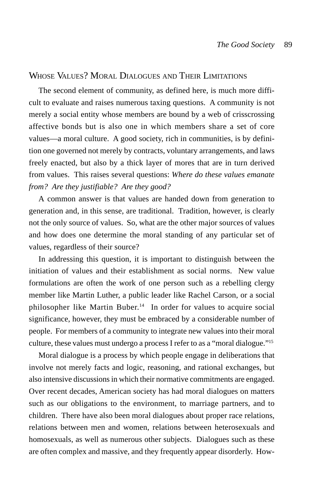### WHOSE VALUES? MORAL DIALOGUES AND THEIR LIMITATIONS

The second element of community, as defined here, is much more difficult to evaluate and raises numerous taxing questions. A community is not merely a social entity whose members are bound by a web of crisscrossing affective bonds but is also one in which members share a set of core values—a moral culture. A good society, rich in communities, is by definition one governed not merely by contracts, voluntary arrangements, and laws freely enacted, but also by a thick layer of mores that are in turn derived from values. This raises several questions: *Where do these values emanate from? Are they justifiable? Are they good?*

A common answer is that values are handed down from generation to generation and, in this sense, are traditional. Tradition, however, is clearly not the only source of values. So, what are the other major sources of values and how does one determine the moral standing of any particular set of values, regardless of their source?

In addressing this question, it is important to distinguish between the initiation of values and their establishment as social norms. New value formulations are often the work of one person such as a rebelling clergy member like Martin Luther, a public leader like Rachel Carson, or a social philosopher like Martin Buber.<sup>14</sup> In order for values to acquire social significance, however, they must be embraced by a considerable number of people. For members of a community to integrate new values into their moral culture, these values must undergo a process I refer to as a "moral dialogue."15

Moral dialogue is a process by which people engage in deliberations that involve not merely facts and logic, reasoning, and rational exchanges, but also intensive discussions in which their normative commitments are engaged. Over recent decades, American society has had moral dialogues on matters such as our obligations to the environment, to marriage partners, and to children. There have also been moral dialogues about proper race relations, relations between men and women, relations between heterosexuals and homosexuals, as well as numerous other subjects. Dialogues such as these are often complex and massive, and they frequently appear disorderly. How-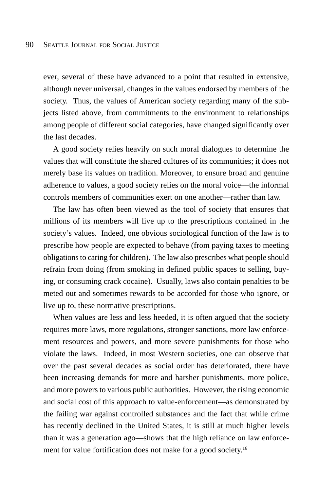ever, several of these have advanced to a point that resulted in extensive, although never universal, changes in the values endorsed by members of the society. Thus, the values of American society regarding many of the subjects listed above, from commitments to the environment to relationships among people of different social categories, have changed significantly over the last decades.

A good society relies heavily on such moral dialogues to determine the values that will constitute the shared cultures of its communities; it does not merely base its values on tradition. Moreover, to ensure broad and genuine adherence to values, a good society relies on the moral voice—the informal controls members of communities exert on one another—rather than law.

The law has often been viewed as the tool of society that ensures that millions of its members will live up to the prescriptions contained in the society's values. Indeed, one obvious sociological function of the law is to prescribe how people are expected to behave (from paying taxes to meeting obligations to caring for children). The law also prescribes what people should refrain from doing (from smoking in defined public spaces to selling, buying, or consuming crack cocaine). Usually, laws also contain penalties to be meted out and sometimes rewards to be accorded for those who ignore, or live up to, these normative prescriptions.

When values are less and less heeded, it is often argued that the society requires more laws, more regulations, stronger sanctions, more law enforcement resources and powers, and more severe punishments for those who violate the laws. Indeed, in most Western societies, one can observe that over the past several decades as social order has deteriorated, there have been increasing demands for more and harsher punishments, more police, and more powers to various public authorities. However, the rising economic and social cost of this approach to value-enforcement—as demonstrated by the failing war against controlled substances and the fact that while crime has recently declined in the United States, it is still at much higher levels than it was a generation ago—shows that the high reliance on law enforcement for value fortification does not make for a good society.<sup>16</sup>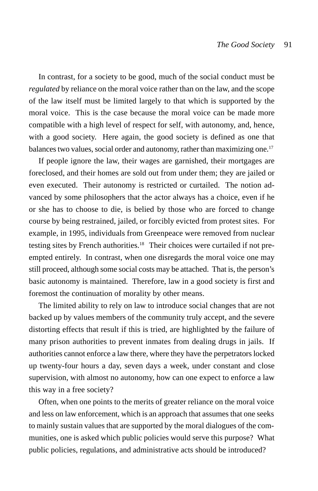In contrast, for a society to be good, much of the social conduct must be *regulated* by reliance on the moral voice rather than on the law, and the scope of the law itself must be limited largely to that which is supported by the moral voice. This is the case because the moral voice can be made more compatible with a high level of respect for self, with autonomy, and, hence, with a good society. Here again, the good society is defined as one that balances two values, social order and autonomy, rather than maximizing one.<sup>17</sup>

If people ignore the law, their wages are garnished, their mortgages are foreclosed, and their homes are sold out from under them; they are jailed or even executed. Their autonomy is restricted or curtailed. The notion advanced by some philosophers that the actor always has a choice, even if he or she has to choose to die, is belied by those who are forced to change course by being restrained, jailed, or forcibly evicted from protest sites. For example, in 1995, individuals from Greenpeace were removed from nuclear testing sites by French authorities.<sup>18</sup> Their choices were curtailed if not preempted entirely. In contrast, when one disregards the moral voice one may still proceed, although some social costs may be attached. That is, the person's basic autonomy is maintained. Therefore, law in a good society is first and foremost the continuation of morality by other means.

The limited ability to rely on law to introduce social changes that are not backed up by values members of the community truly accept, and the severe distorting effects that result if this is tried, are highlighted by the failure of many prison authorities to prevent inmates from dealing drugs in jails. If authorities cannot enforce a law there, where they have the perpetrators locked up twenty-four hours a day, seven days a week, under constant and close supervision, with almost no autonomy, how can one expect to enforce a law this way in a free society?

Often, when one points to the merits of greater reliance on the moral voice and less on law enforcement, which is an approach that assumes that one seeks to mainly sustain values that are supported by the moral dialogues of the communities, one is asked which public policies would serve this purpose? What public policies, regulations, and administrative acts should be introduced?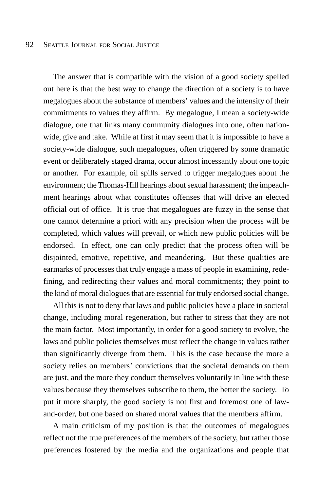The answer that is compatible with the vision of a good society spelled out here is that the best way to change the direction of a society is to have megalogues about the substance of members' values and the intensity of their commitments to values they affirm. By megalogue, I mean a society-wide dialogue, one that links many community dialogues into one, often nationwide, give and take. While at first it may seem that it is impossible to have a society-wide dialogue, such megalogues, often triggered by some dramatic event or deliberately staged drama, occur almost incessantly about one topic or another. For example, oil spills served to trigger megalogues about the environment; the Thomas-Hill hearings about sexual harassment; the impeachment hearings about what constitutes offenses that will drive an elected official out of office. It is true that megalogues are fuzzy in the sense that one cannot determine a priori with any precision when the process will be completed, which values will prevail, or which new public policies will be endorsed. In effect, one can only predict that the process often will be disjointed, emotive, repetitive, and meandering. But these qualities are earmarks of processes that truly engage a mass of people in examining, redefining, and redirecting their values and moral commitments; they point to the kind of moral dialogues that are essential for truly endorsed social change.

All this is not to deny that laws and public policies have a place in societal change, including moral regeneration, but rather to stress that they are not the main factor. Most importantly, in order for a good society to evolve, the laws and public policies themselves must reflect the change in values rather than significantly diverge from them. This is the case because the more a society relies on members' convictions that the societal demands on them are just, and the more they conduct themselves voluntarily in line with these values because they themselves subscribe to them, the better the society. To put it more sharply, the good society is not first and foremost one of lawand-order, but one based on shared moral values that the members affirm.

A main criticism of my position is that the outcomes of megalogues reflect not the true preferences of the members of the society, but rather those preferences fostered by the media and the organizations and people that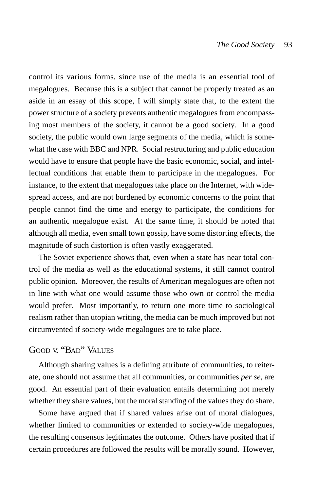control its various forms, since use of the media is an essential tool of megalogues. Because this is a subject that cannot be properly treated as an aside in an essay of this scope, I will simply state that, to the extent the power structure of a society prevents authentic megalogues from encompassing most members of the society, it cannot be a good society. In a good society, the public would own large segments of the media, which is somewhat the case with BBC and NPR. Social restructuring and public education would have to ensure that people have the basic economic, social, and intellectual conditions that enable them to participate in the megalogues. For instance, to the extent that megalogues take place on the Internet, with widespread access, and are not burdened by economic concerns to the point that people cannot find the time and energy to participate, the conditions for an authentic megalogue exist. At the same time, it should be noted that although all media, even small town gossip, have some distorting effects, the magnitude of such distortion is often vastly exaggerated.

The Soviet experience shows that, even when a state has near total control of the media as well as the educational systems, it still cannot control public opinion. Moreover, the results of American megalogues are often not in line with what one would assume those who own or control the media would prefer. Most importantly, to return one more time to sociological realism rather than utopian writing, the media can be much improved but not circumvented if society-wide megalogues are to take place.

## GOOD V. "BAD" VALUES

Although sharing values is a defining attribute of communities, to reiterate, one should not assume that all communities, or communities *per se*, are good. An essential part of their evaluation entails determining not merely whether they share values, but the moral standing of the values they do share.

Some have argued that if shared values arise out of moral dialogues, whether limited to communities or extended to society-wide megalogues, the resulting consensus legitimates the outcome. Others have posited that if certain procedures are followed the results will be morally sound. However,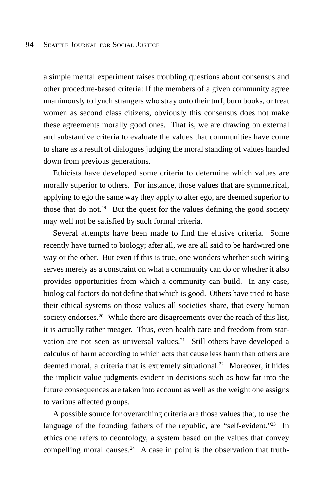a simple mental experiment raises troubling questions about consensus and other procedure-based criteria: If the members of a given community agree unanimously to lynch strangers who stray onto their turf, burn books, or treat women as second class citizens, obviously this consensus does not make these agreements morally good ones. That is, we are drawing on external and substantive criteria to evaluate the values that communities have come to share as a result of dialogues judging the moral standing of values handed down from previous generations.

Ethicists have developed some criteria to determine which values are morally superior to others. For instance, those values that are symmetrical, applying to ego the same way they apply to alter ego, are deemed superior to those that do not.<sup>19</sup> But the quest for the values defining the good society may well not be satisfied by such formal criteria.

Several attempts have been made to find the elusive criteria. Some recently have turned to biology; after all, we are all said to be hardwired one way or the other. But even if this is true, one wonders whether such wiring serves merely as a constraint on what a community can do or whether it also provides opportunities from which a community can build. In any case, biological factors do not define that which is good. Others have tried to base their ethical systems on those values all societies share, that every human society endorses.<sup>20</sup> While there are disagreements over the reach of this list, it is actually rather meager. Thus, even health care and freedom from starvation are not seen as universal values.<sup>21</sup> Still others have developed a calculus of harm according to which acts that cause less harm than others are deemed moral, a criteria that is extremely situational.<sup>22</sup> Moreover, it hides the implicit value judgments evident in decisions such as how far into the future consequences are taken into account as well as the weight one assigns to various affected groups.

A possible source for overarching criteria are those values that, to use the language of the founding fathers of the republic, are "self-evident."<sup>23</sup> In ethics one refers to deontology, a system based on the values that convey compelling moral causes.<sup>24</sup> A case in point is the observation that truth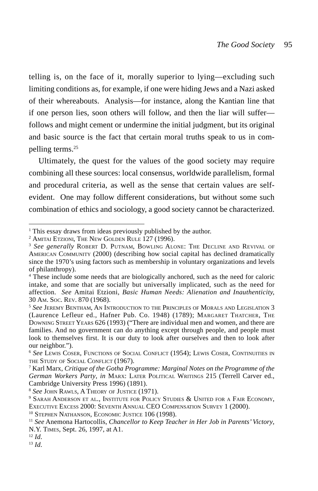telling is, on the face of it, morally superior to lying—excluding such limiting conditions as, for example, if one were hiding Jews and a Nazi asked of their whereabouts. Analysis—for instance, along the Kantian line that if one person lies, soon others will follow, and then the liar will suffer follows and might cement or undermine the initial judgment, but its original and basic source is the fact that certain moral truths speak to us in compelling terms.25

Ultimately, the quest for the values of the good society may require combining all these sources: local consensus, worldwide parallelism, formal and procedural criteria, as well as the sense that certain values are selfevident. One may follow different considerations, but without some such combination of ethics and sociology, a good society cannot be characterized.

<sup>&</sup>lt;sup>1</sup> This essay draws from ideas previously published by the author.

<sup>2</sup> AMITAI ETZIONI, THE NEW GOLDEN RULE 127 (1996).

<sup>3</sup> *See generally* ROBERT D. PUTNAM, BOWLING ALONE: THE DECLINE AND REVIVAL OF AMERICAN COMMUNITY (2000) (describing how social capital has declined dramatically since the 1970's using factors such as membership in voluntary organizations and levels of philanthropy).

<sup>&</sup>lt;sup>4</sup> These include some needs that are biologically anchored, such as the need for caloric intake, and some that are socially but universally implicated, such as the need for affection. *See* Amitai Etzioni, *Basic Human Needs: Alienation and Inauthenticity,* 30 AM. SOC. REV. 870 (1968).

<sup>5</sup> *See* JEREMY BENTHAM, AN INTRODUCTION TO THE PRINCIPLES OF MORALS AND LEGISLATION 3 (Laurence Lefleur ed., Hafner Pub. Co. 1948) (1789); MARGARET THATCHER, THE DOWNING STREET YEARS 626 (1993) ("There are individual men and women, and there are families. And no government can do anything except through people, and people must look to themselves first. It is our duty to look after ourselves and then to look after our neighbor.").

<sup>6</sup> *See* LEWIS COSER, FUNCTIONS OF SOCIAL CONFLICT (1954); LEWIS COSER, CONTINUITIES IN THE STUDY OF SOCIAL CONFLICT (1967).

<sup>7</sup> Karl Marx, *Critique of the Gotha Programme: Marginal Notes on the Programme of the German Workers Party*, *in* MARX: LATER POLITICAL WRITINGS 215 (Terrell Carver ed., Cambridge University Press 1996) (1891).

<sup>8</sup> *See* JOHN RAWLS, A THEORY OF JUSTICE (1971).

<sup>&</sup>lt;sup>9</sup> SARAH ANDERSON ET AL., INSTITUTE FOR POLICY STUDIES & UNITED FOR A FAIR ECONOMY, EXECUTIVE EXCESS 2000: SEVENTH ANNUAL CEO COMPENSATION SURVEY 1 (2000).

<sup>&</sup>lt;sup>10</sup> STEPHEN NATHANSON, ECONOMIC JUSTICE 106 (1998).

<sup>11</sup> *See* Anemona Hartocollis, *Chancellor to Keep Teacher in Her Job in Parents' Victory*, N.Y. TIMES, Sept. 26, 1997, at A1.

<sup>12</sup> *Id*.

<sup>13</sup> *Id*.